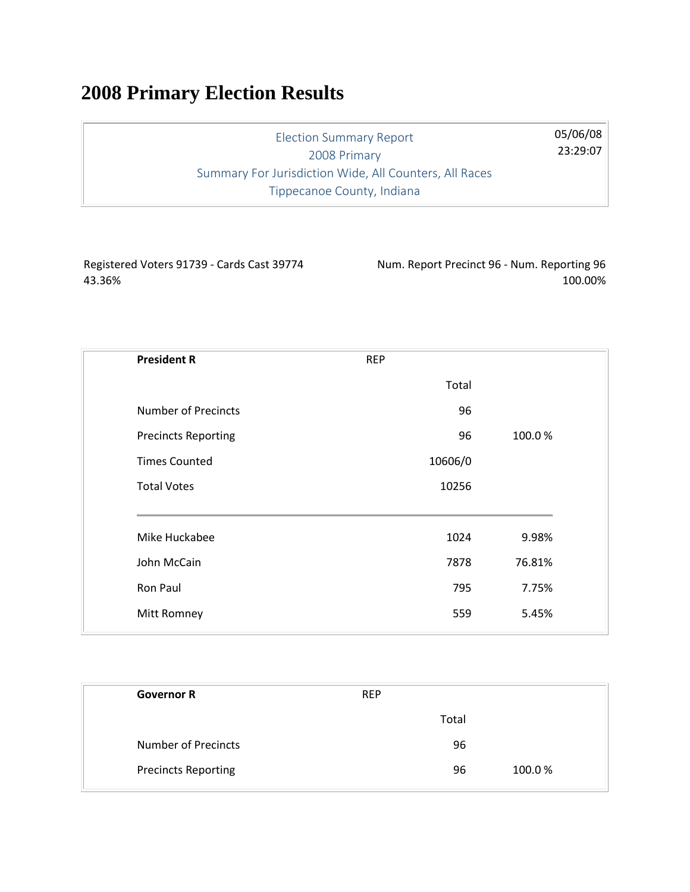## **2008 Primary Election Results**

Election Summary Report 2008 Primary Summary For Jurisdiction Wide, All Counters, All Races Tippecanoe County, Indiana

Registered Voters 91739 - Cards Cast 39774 43.36%

Num. Report Precinct 96 - Num. Reporting 96 100.00%

05/06/08 23:29:07

| <b>President R</b>         | <b>REP</b> |        |
|----------------------------|------------|--------|
|                            | Total      |        |
| <b>Number of Precincts</b> | 96         |        |
| <b>Precincts Reporting</b> | 96         | 100.0% |
| <b>Times Counted</b>       | 10606/0    |        |
| <b>Total Votes</b>         | 10256      |        |
| Mike Huckabee              | 1024       | 9.98%  |
| John McCain                | 7878       | 76.81% |
| Ron Paul                   | 795        | 7.75%  |
| Mitt Romney                | 559        | 5.45%  |
|                            |            |        |

| <b>Governor R</b>          | <b>REP</b> |       |        |
|----------------------------|------------|-------|--------|
|                            |            | Total |        |
| Number of Precincts        |            | 96    |        |
| <b>Precincts Reporting</b> |            | 96    | 100.0% |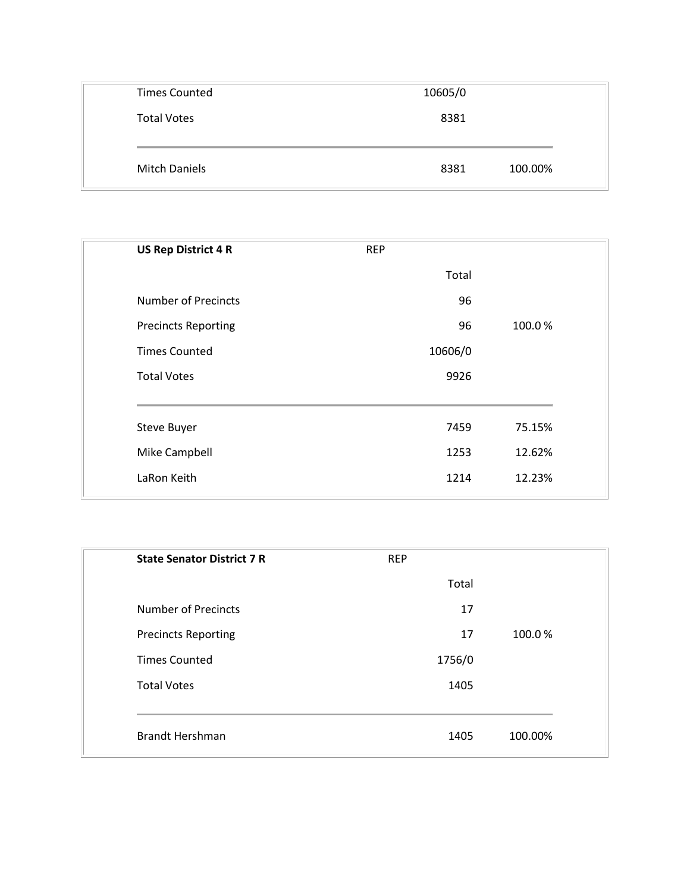| <b>Times Counted</b> | 10605/0 |         |
|----------------------|---------|---------|
| <b>Total Votes</b>   | 8381    |         |
|                      |         |         |
| <b>Mitch Daniels</b> | 8381    | 100.00% |

| <b>US Rep District 4 R</b> | <b>REP</b> |        |
|----------------------------|------------|--------|
|                            | Total      |        |
| <b>Number of Precincts</b> | 96         |        |
| <b>Precincts Reporting</b> | 96         | 100.0% |
| <b>Times Counted</b>       | 10606/0    |        |
| <b>Total Votes</b>         | 9926       |        |
| <b>Steve Buyer</b>         | 7459       | 75.15% |
| Mike Campbell              | 1253       | 12.62% |
| LaRon Keith                | 1214       | 12.23% |
|                            |            |        |

| <b>State Senator District 7 R</b> | <b>REP</b> |         |
|-----------------------------------|------------|---------|
|                                   | Total      |         |
| <b>Number of Precincts</b>        | 17         |         |
| <b>Precincts Reporting</b>        | 17         | 100.0%  |
| <b>Times Counted</b>              | 1756/0     |         |
| <b>Total Votes</b>                | 1405       |         |
|                                   |            |         |
| <b>Brandt Hershman</b>            | 1405       | 100.00% |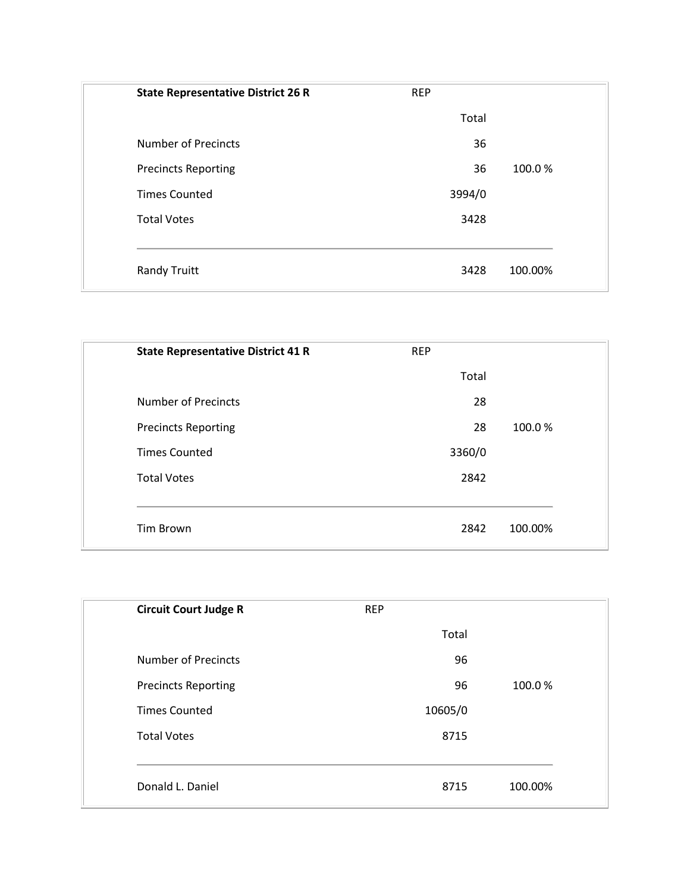| <b>State Representative District 26 R</b> | <b>REP</b> |         |
|-------------------------------------------|------------|---------|
|                                           | Total      |         |
| <b>Number of Precincts</b>                | 36         |         |
| <b>Precincts Reporting</b>                | 36         | 100.0%  |
| <b>Times Counted</b>                      | 3994/0     |         |
| <b>Total Votes</b>                        | 3428       |         |
|                                           |            |         |
| <b>Randy Truitt</b>                       | 3428       | 100.00% |

| <b>State Representative District 41 R</b> | <b>REP</b> |         |
|-------------------------------------------|------------|---------|
|                                           | Total      |         |
| <b>Number of Precincts</b>                | 28         |         |
| <b>Precincts Reporting</b>                | 28         | 100.0%  |
| <b>Times Counted</b>                      | 3360/0     |         |
| <b>Total Votes</b>                        | 2842       |         |
|                                           |            |         |
| <b>Tim Brown</b>                          | 2842       | 100.00% |

| <b>Circuit Court Judge R</b> | <b>REP</b> |         |
|------------------------------|------------|---------|
|                              | Total      |         |
| <b>Number of Precincts</b>   | 96         |         |
| <b>Precincts Reporting</b>   | 96         | 100.0%  |
| <b>Times Counted</b>         | 10605/0    |         |
| <b>Total Votes</b>           | 8715       |         |
|                              |            |         |
| Donald L. Daniel             | 8715       | 100.00% |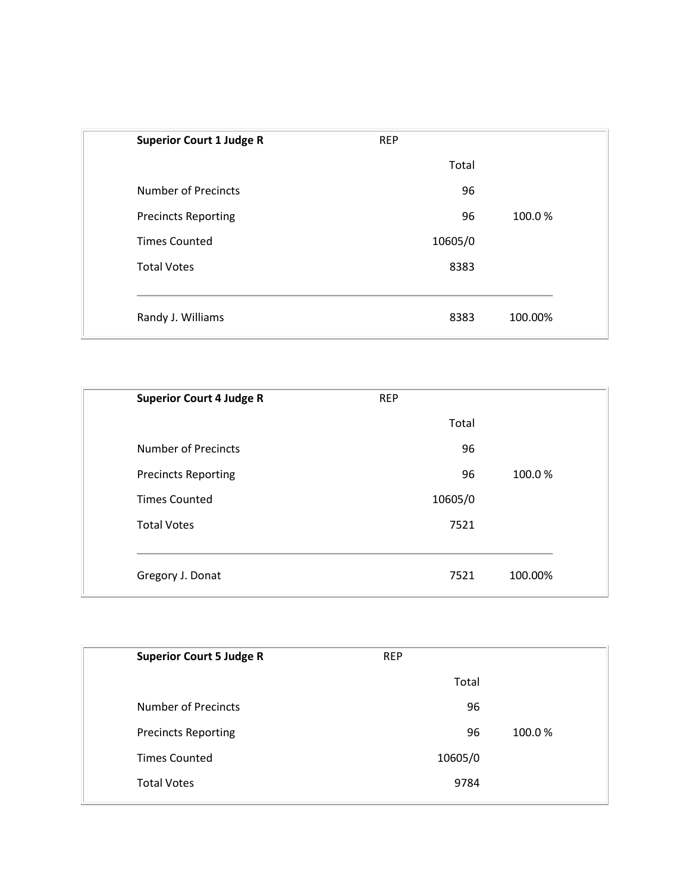| <b>Superior Court 1 Judge R</b> | <b>REP</b> |         |
|---------------------------------|------------|---------|
|                                 | Total      |         |
| <b>Number of Precincts</b>      | 96         |         |
| <b>Precincts Reporting</b>      | 96         | 100.0%  |
| <b>Times Counted</b>            | 10605/0    |         |
| <b>Total Votes</b>              | 8383       |         |
|                                 |            |         |
| Randy J. Williams               | 8383       | 100.00% |
|                                 |            |         |

| <b>Superior Court 4 Judge R</b> | <b>REP</b> |         |
|---------------------------------|------------|---------|
|                                 | Total      |         |
| <b>Number of Precincts</b>      | 96         |         |
| <b>Precincts Reporting</b>      | 96         | 100.0%  |
| <b>Times Counted</b>            | 10605/0    |         |
| <b>Total Votes</b>              | 7521       |         |
|                                 |            |         |
| Gregory J. Donat                | 7521       | 100.00% |

| <b>Superior Court 5 Judge R</b> | <b>REP</b> |        |
|---------------------------------|------------|--------|
|                                 | Total      |        |
| Number of Precincts             | 96         |        |
| <b>Precincts Reporting</b>      | 96         | 100.0% |
| <b>Times Counted</b>            | 10605/0    |        |
| <b>Total Votes</b>              | 9784       |        |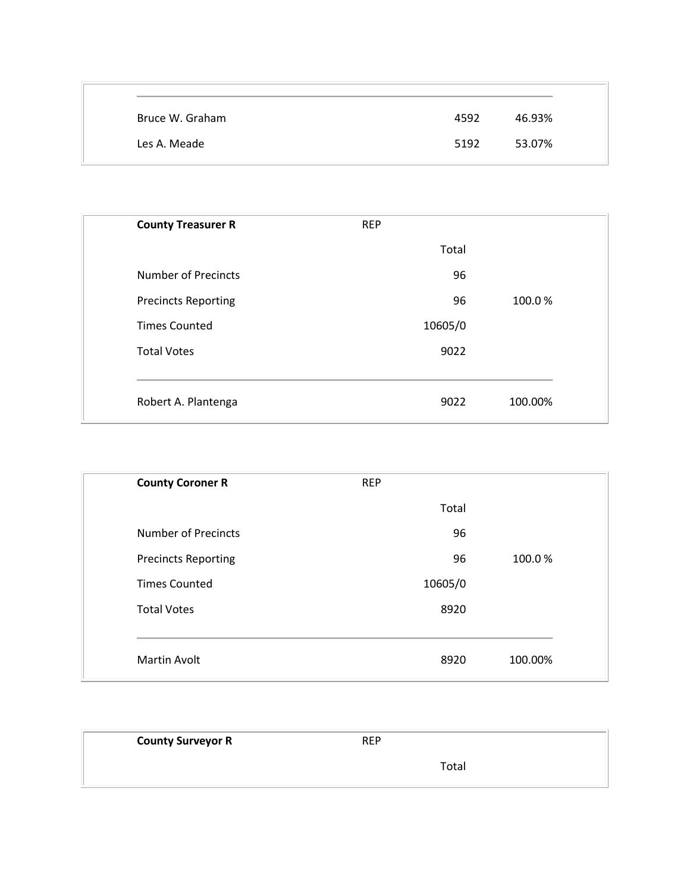| Bruce W. Graham | 4592 | 46.93% |
|-----------------|------|--------|
| Les A. Meade    | 5192 | 53.07% |

| <b>County Treasurer R</b>  | <b>REP</b> |         |
|----------------------------|------------|---------|
|                            | Total      |         |
| <b>Number of Precincts</b> | 96         |         |
| <b>Precincts Reporting</b> | 96         | 100.0%  |
| <b>Times Counted</b>       | 10605/0    |         |
| <b>Total Votes</b>         | 9022       |         |
|                            |            |         |
| Robert A. Plantenga        | 9022       | 100.00% |

| <b>County Coroner R</b>    | <b>REP</b> |         |
|----------------------------|------------|---------|
|                            | Total      |         |
| <b>Number of Precincts</b> | 96         |         |
| <b>Precincts Reporting</b> | 96         | 100.0%  |
| <b>Times Counted</b>       | 10605/0    |         |
| <b>Total Votes</b>         | 8920       |         |
|                            |            |         |
| Martin Avolt               | 8920       | 100.00% |

| <b>County Surveyor R</b> | <b>REP</b> |  |
|--------------------------|------------|--|
|                          | Total      |  |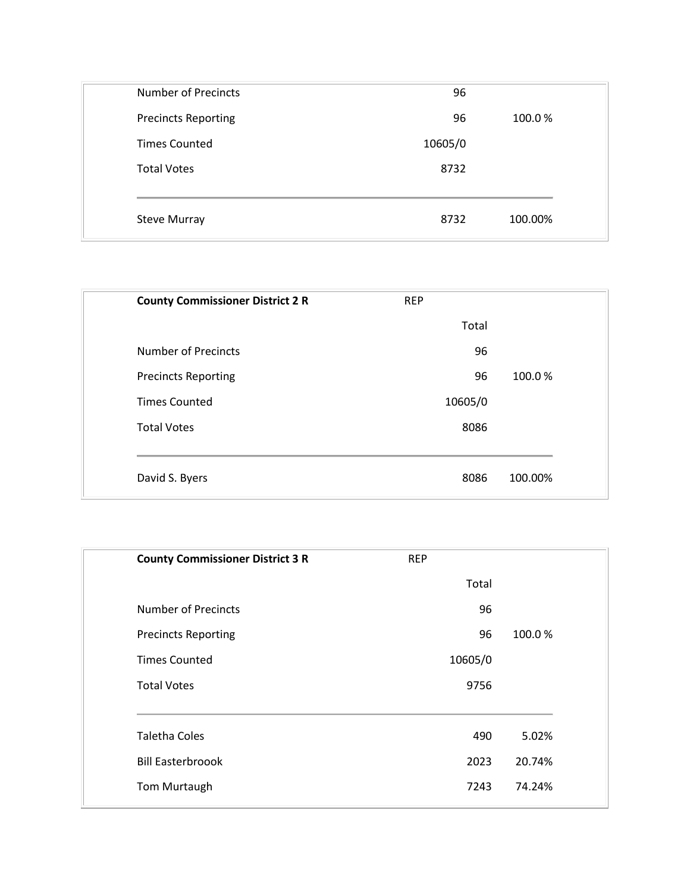| 96      |         |
|---------|---------|
| 96      | 100.0%  |
| 10605/0 |         |
| 8732    |         |
|         |         |
| 8732    | 100.00% |
|         |         |

| <b>County Commissioner District 2 R</b> | <b>REP</b> |         |
|-----------------------------------------|------------|---------|
|                                         | Total      |         |
| Number of Precincts                     | 96         |         |
| <b>Precincts Reporting</b>              | 96         | 100.0%  |
| <b>Times Counted</b>                    | 10605/0    |         |
| <b>Total Votes</b>                      | 8086       |         |
|                                         |            |         |
| David S. Byers                          | 8086       | 100.00% |
|                                         |            |         |

| <b>County Commissioner District 3 R</b> | <b>REP</b> |        |
|-----------------------------------------|------------|--------|
|                                         | Total      |        |
| Number of Precincts                     | 96         |        |
| <b>Precincts Reporting</b>              | 96         | 100.0% |
| <b>Times Counted</b>                    | 10605/0    |        |
| <b>Total Votes</b>                      | 9756       |        |
|                                         |            |        |
| <b>Taletha Coles</b>                    | 490        | 5.02%  |
| <b>Bill Easterbroook</b>                | 2023       | 20.74% |
| Tom Murtaugh                            | 7243       | 74.24% |
|                                         |            |        |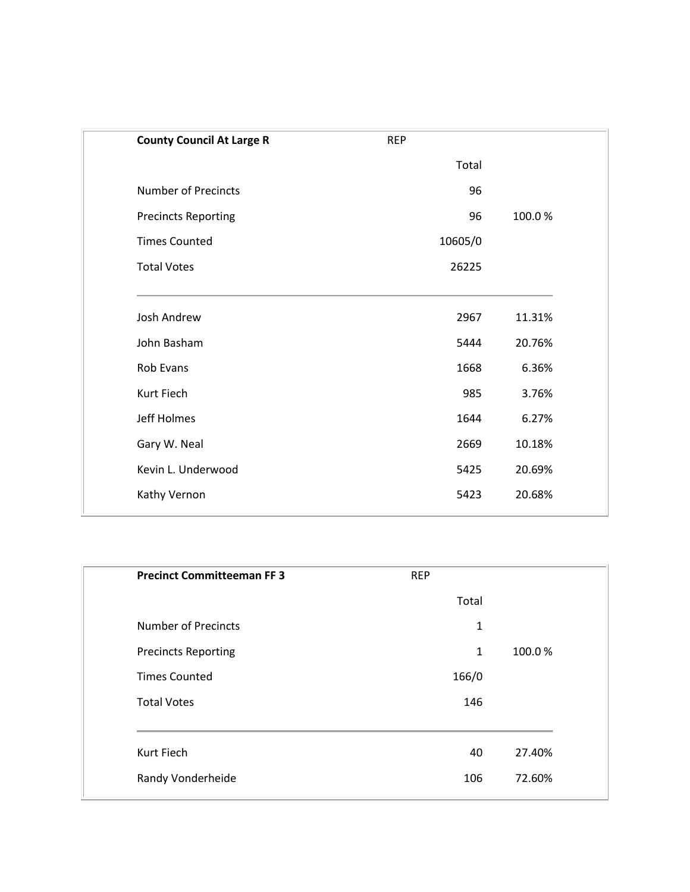| <b>County Council At Large R</b> | <b>REP</b> |        |
|----------------------------------|------------|--------|
|                                  | Total      |        |
| <b>Number of Precincts</b>       | 96         |        |
| <b>Precincts Reporting</b>       | 96         | 100.0% |
| <b>Times Counted</b>             | 10605/0    |        |
| <b>Total Votes</b>               | 26225      |        |
| <b>Josh Andrew</b>               | 2967       | 11.31% |
| John Basham                      | 5444       | 20.76% |
| Rob Evans                        | 1668       | 6.36%  |
| Kurt Fiech                       | 985        | 3.76%  |
| Jeff Holmes                      | 1644       | 6.27%  |
| Gary W. Neal                     | 2669       | 10.18% |
| Kevin L. Underwood               | 5425       | 20.69% |
| Kathy Vernon                     | 5423       | 20.68% |
|                                  |            |        |

| <b>Precinct Committeeman FF 3</b> | <b>REP</b>   |        |
|-----------------------------------|--------------|--------|
|                                   | Total        |        |
| <b>Number of Precincts</b>        | $\mathbf{1}$ |        |
| <b>Precincts Reporting</b>        | 1            | 100.0% |
| <b>Times Counted</b>              | 166/0        |        |
| <b>Total Votes</b>                | 146          |        |
|                                   |              |        |
| Kurt Fiech                        | 40           | 27.40% |
| Randy Vonderheide                 | 106          | 72.60% |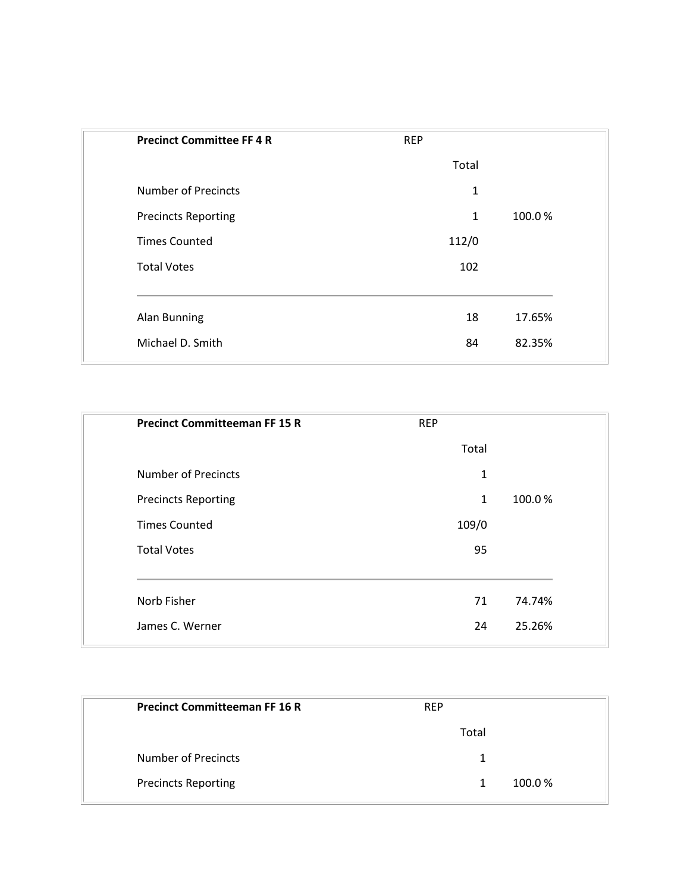| <b>Precinct Committee FF4R</b> | <b>REP</b> |        |
|--------------------------------|------------|--------|
|                                | Total      |        |
| <b>Number of Precincts</b>     | 1          |        |
| <b>Precincts Reporting</b>     | 1          | 100.0% |
| <b>Times Counted</b>           | 112/0      |        |
| <b>Total Votes</b>             | 102        |        |
|                                |            |        |
| <b>Alan Bunning</b>            | 18         | 17.65% |
| Michael D. Smith               | 84         | 82.35% |
|                                |            |        |

| <b>Precinct Committeeman FF 15 R</b> | <b>REP</b>   |        |
|--------------------------------------|--------------|--------|
|                                      | Total        |        |
| <b>Number of Precincts</b>           | $\mathbf{1}$ |        |
| <b>Precincts Reporting</b>           | $\mathbf{1}$ | 100.0% |
| <b>Times Counted</b>                 | 109/0        |        |
| <b>Total Votes</b>                   | 95           |        |
| Norb Fisher                          | 71           | 74.74% |
| James C. Werner                      | 24           | 25.26% |
|                                      |              |        |

| <b>Precinct Committeeman FF 16 R</b> | <b>REP</b>  |  |
|--------------------------------------|-------------|--|
|                                      | Total       |  |
| Number of Precincts                  | 1           |  |
| <b>Precincts Reporting</b>           | 100.0%<br>1 |  |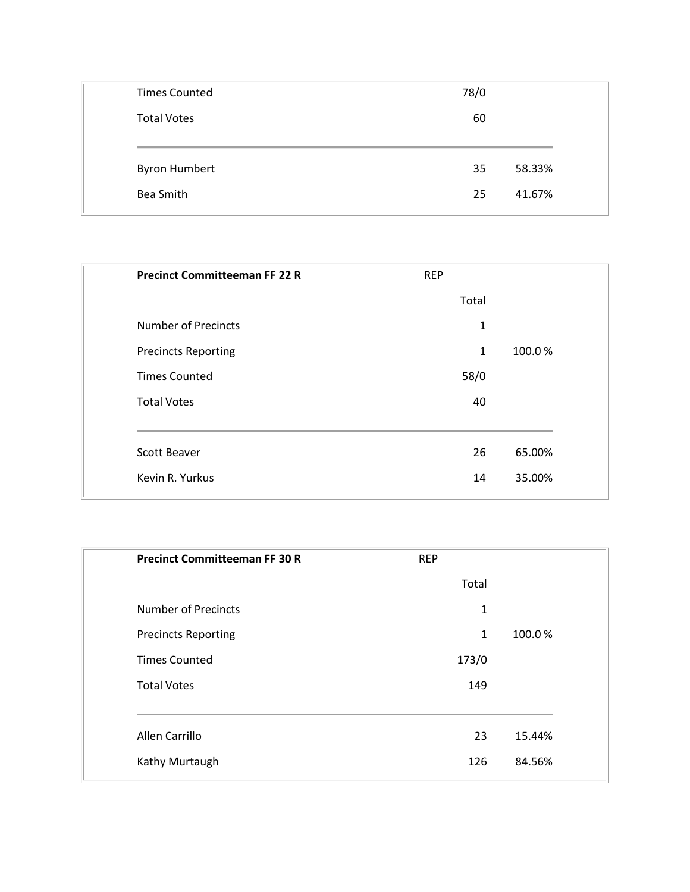| <b>Times Counted</b> | 78/0         |
|----------------------|--------------|
| <b>Total Votes</b>   | 60           |
|                      |              |
|                      |              |
| <b>Byron Humbert</b> | 58.33%<br>35 |
| Bea Smith            | 41.67%<br>25 |

| <b>REP</b>   |        |
|--------------|--------|
| Total        |        |
| 1            |        |
| $\mathbf{1}$ | 100.0% |
| 58/0         |        |
| 40           |        |
| 26           | 65.00% |
| 14           | 35.00% |
|              |        |

| <b>Precinct Committeeman FF 30 R</b> | <b>REP</b>   |        |
|--------------------------------------|--------------|--------|
|                                      | Total        |        |
| <b>Number of Precincts</b>           | $\mathbf{1}$ |        |
| <b>Precincts Reporting</b>           | $\mathbf{1}$ | 100.0% |
| <b>Times Counted</b>                 | 173/0        |        |
| <b>Total Votes</b>                   | 149          |        |
| Allen Carrillo                       | 23           | 15.44% |
| Kathy Murtaugh                       | 126          | 84.56% |
|                                      |              |        |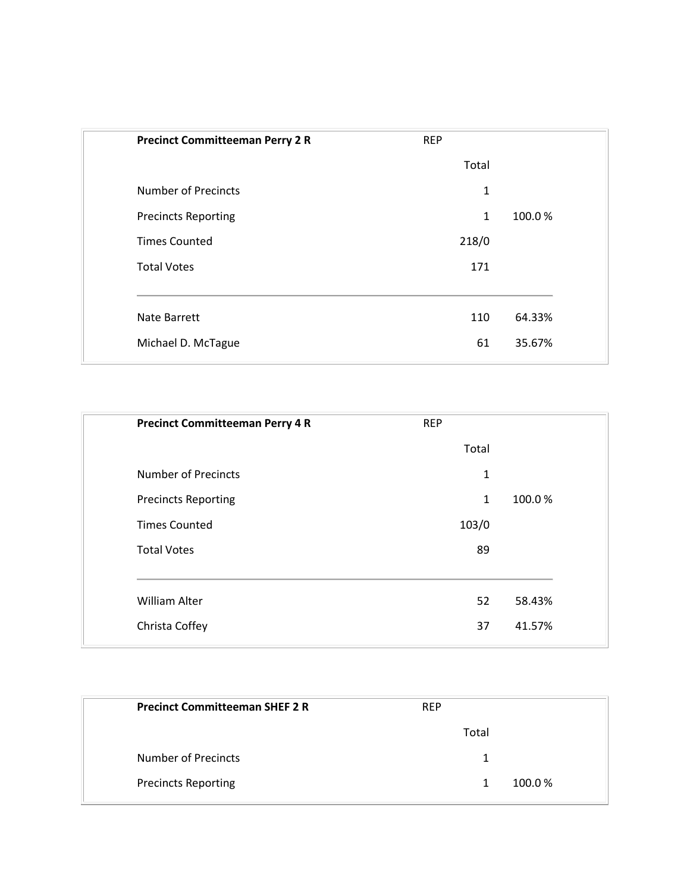| <b>Precinct Committeeman Perry 2 R</b> | <b>REP</b>   |        |
|----------------------------------------|--------------|--------|
|                                        | Total        |        |
| <b>Number of Precincts</b>             | $\mathbf{1}$ |        |
| <b>Precincts Reporting</b>             | $\mathbf{1}$ | 100.0% |
| <b>Times Counted</b>                   | 218/0        |        |
| <b>Total Votes</b>                     | 171          |        |
| <b>Nate Barrett</b>                    | 110          | 64.33% |
| Michael D. McTague                     | 61           | 35.67% |
|                                        |              |        |

| <b>Precinct Committeeman Perry 4 R</b> | <b>REP</b> |        |
|----------------------------------------|------------|--------|
|                                        | Total      |        |
| <b>Number of Precincts</b>             | 1          |        |
| <b>Precincts Reporting</b>             | 1          | 100.0% |
| <b>Times Counted</b>                   | 103/0      |        |
| <b>Total Votes</b>                     | 89         |        |
| <b>William Alter</b>                   | 52         | 58.43% |
| Christa Coffey                         | 37         | 41.57% |
|                                        |            |        |

| <b>Precinct Committeeman SHEF 2 R</b> | <b>REP</b> |  |
|---------------------------------------|------------|--|
|                                       | Total      |  |
| <b>Number of Precincts</b>            |            |  |
| <b>Precincts Reporting</b>            | 100.0%     |  |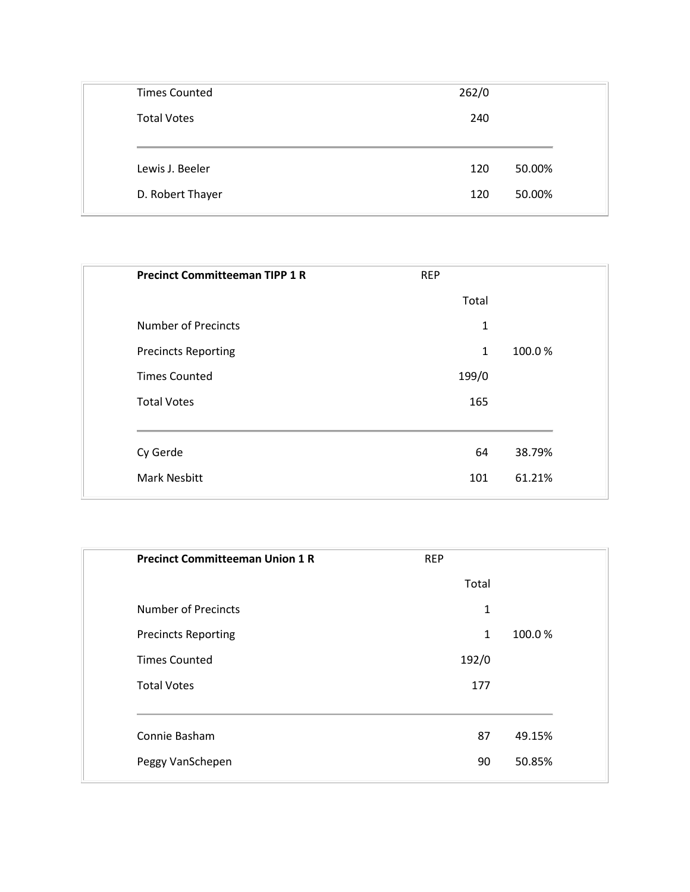| 240 |        |
|-----|--------|
|     |        |
|     |        |
| 120 | 50.00% |
|     | 50.00% |
|     | 120    |

| <b>Precinct Committeeman TIPP 1 R</b> | <b>REP</b>   |        |
|---------------------------------------|--------------|--------|
|                                       | Total        |        |
| <b>Number of Precincts</b>            | $\mathbf{1}$ |        |
| <b>Precincts Reporting</b>            | $\mathbf{1}$ | 100.0% |
| <b>Times Counted</b>                  | 199/0        |        |
| <b>Total Votes</b>                    | 165          |        |
| Cy Gerde                              | 64           | 38.79% |
| <b>Mark Nesbitt</b>                   | 101          | 61.21% |
|                                       |              |        |

| <b>Precinct Committeeman Union 1 R</b> | <b>REP</b>   |        |
|----------------------------------------|--------------|--------|
|                                        | Total        |        |
| <b>Number of Precincts</b>             | $\mathbf{1}$ |        |
| <b>Precincts Reporting</b>             | $\mathbf{1}$ | 100.0% |
| <b>Times Counted</b>                   | 192/0        |        |
| <b>Total Votes</b>                     | 177          |        |
| Connie Basham                          | 87           | 49.15% |
| Peggy VanSchepen                       | 90           | 50.85% |
|                                        |              |        |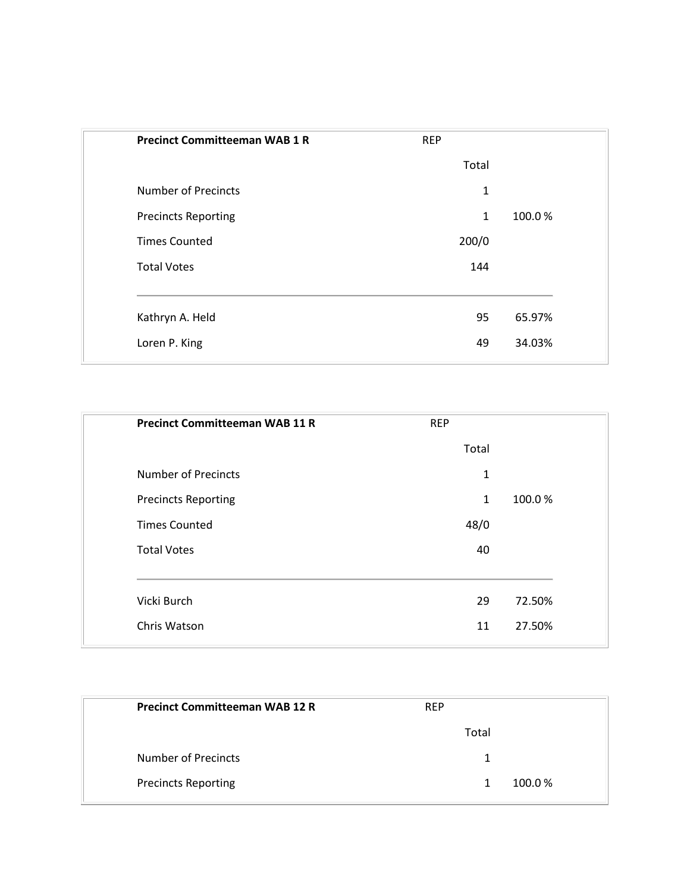| <b>Precinct Committeeman WAB 1 R</b> | <b>REP</b>   |        |
|--------------------------------------|--------------|--------|
|                                      | Total        |        |
| <b>Number of Precincts</b>           | $\mathbf{1}$ |        |
| <b>Precincts Reporting</b>           | 1            | 100.0% |
| <b>Times Counted</b>                 | 200/0        |        |
| <b>Total Votes</b>                   | 144          |        |
|                                      |              |        |
| Kathryn A. Held                      | 95           | 65.97% |
| Loren P. King                        | 49           | 34.03% |
|                                      |              |        |

|                      | <b>Precinct Committeeman WAB 11 R</b> | <b>REP</b> |        |
|----------------------|---------------------------------------|------------|--------|
|                      |                                       | Total      |        |
|                      | <b>Number of Precincts</b>            | 1          |        |
|                      | <b>Precincts Reporting</b>            | 1          | 100.0% |
| <b>Times Counted</b> |                                       | 48/0       |        |
| <b>Total Votes</b>   |                                       | 40         |        |
|                      |                                       |            |        |
| Vicki Burch          |                                       | 29         | 72.50% |
| Chris Watson         |                                       | 11         | 27.50% |
|                      |                                       |            |        |

| <b>Precinct Committeeman WAB 12 R</b> | <b>REP</b>  |
|---------------------------------------|-------------|
|                                       | Total       |
| Number of Precincts                   | 1           |
| <b>Precincts Reporting</b>            | 100.0%<br>1 |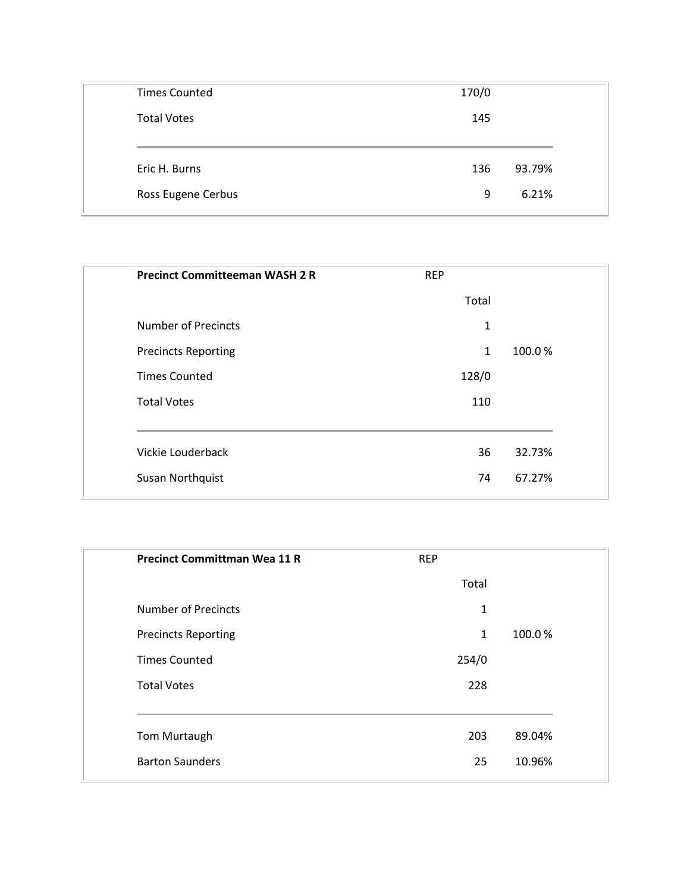| <b>Times Counted</b> | 170/0         |
|----------------------|---------------|
| <b>Total Votes</b>   | 145           |
|                      |               |
| Eric H. Burns        | 93.79%<br>136 |
|                      |               |
| Ross Eugene Cerbus   | 6.21%<br>9    |

| <b>Precinct Committeeman WASH 2 R</b> | <b>REP</b>   |        |
|---------------------------------------|--------------|--------|
|                                       | Total        |        |
| <b>Number of Precincts</b>            | 1            |        |
| <b>Precincts Reporting</b>            | $\mathbf{1}$ | 100.0% |
| <b>Times Counted</b>                  | 128/0        |        |
| <b>Total Votes</b>                    | 110          |        |
| Vickie Louderback                     | 36           | 32.73% |
| Susan Northquist                      | 74           | 67.27% |
|                                       |              |        |

| <b>Precinct Committman Wea 11 R</b> | <b>REP</b>   |        |
|-------------------------------------|--------------|--------|
|                                     | Total        |        |
| <b>Number of Precincts</b>          | $\mathbf{1}$ |        |
| <b>Precincts Reporting</b>          | $\mathbf{1}$ | 100.0% |
| <b>Times Counted</b>                | 254/0        |        |
| <b>Total Votes</b>                  | 228          |        |
|                                     |              |        |
| Tom Murtaugh                        | 203          | 89.04% |
| <b>Barton Saunders</b>              | 25           | 10.96% |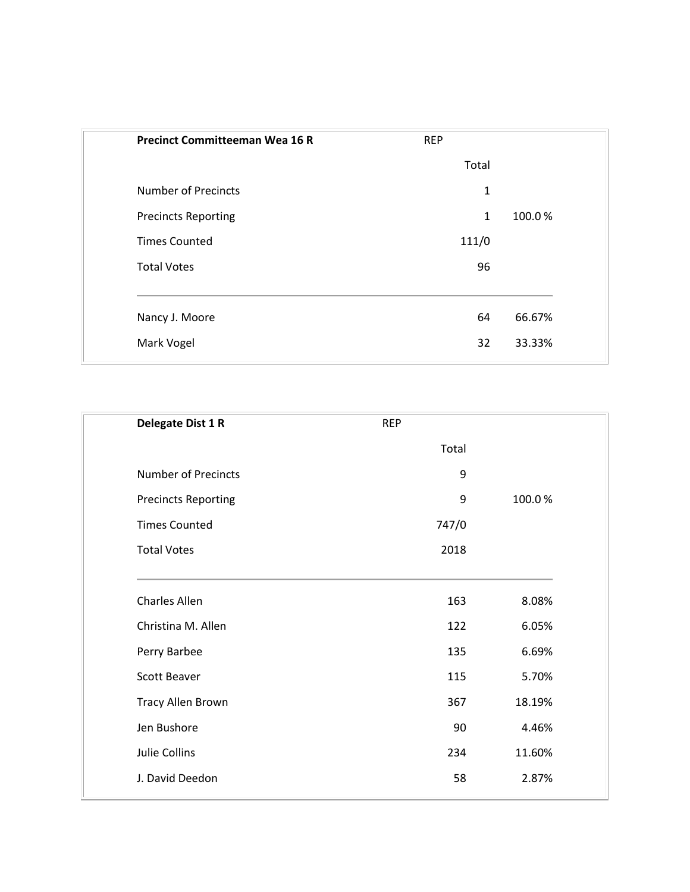| <b>Precinct Committeeman Wea 16 R</b> | <b>REP</b>   |        |
|---------------------------------------|--------------|--------|
|                                       | Total        |        |
| <b>Number of Precincts</b>            | 1            |        |
| <b>Precincts Reporting</b>            | $\mathbf{1}$ | 100.0% |
| <b>Times Counted</b>                  | 111/0        |        |
| <b>Total Votes</b>                    | 96           |        |
| Nancy J. Moore                        | 64           | 66.67% |
| Mark Vogel                            | 32           | 33.33% |
|                                       |              |        |

| Delegate Dist 1 R          | <b>REP</b> |        |
|----------------------------|------------|--------|
|                            | Total      |        |
| <b>Number of Precincts</b> | 9          |        |
| <b>Precincts Reporting</b> | 9          | 100.0% |
| <b>Times Counted</b>       | 747/0      |        |
| <b>Total Votes</b>         | 2018       |        |
| Charles Allen              | 163        | 8.08%  |
| Christina M. Allen         | 122        | 6.05%  |
| Perry Barbee               | 135        | 6.69%  |
| <b>Scott Beaver</b>        | 115        | 5.70%  |
| Tracy Allen Brown          | 367        | 18.19% |
| Jen Bushore                | 90         | 4.46%  |
| Julie Collins              | 234        | 11.60% |
| J. David Deedon            | 58         | 2.87%  |
|                            |            |        |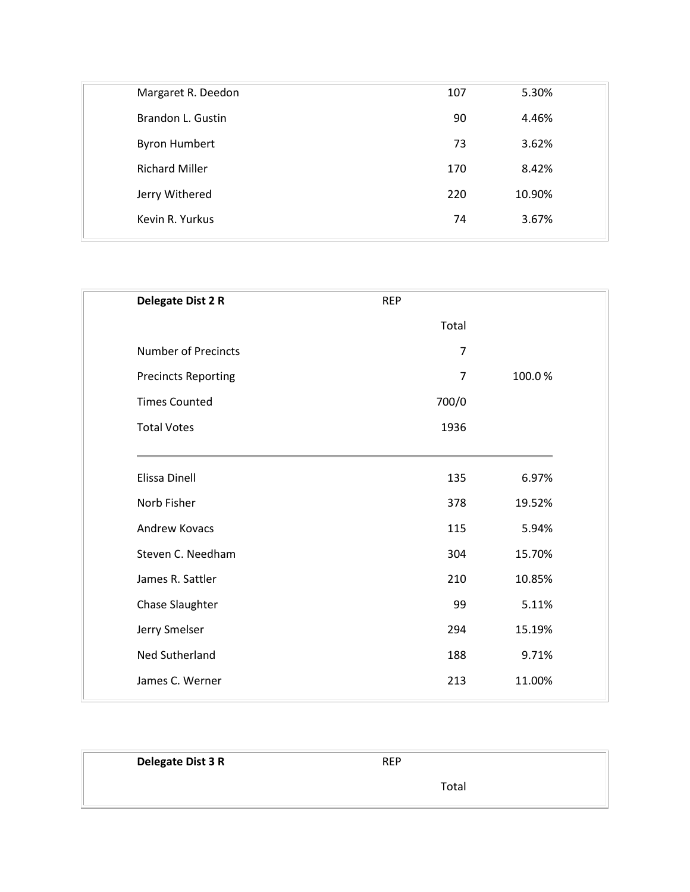| Margaret R. Deedon    | 107 | 5.30%  |  |
|-----------------------|-----|--------|--|
| Brandon L. Gustin     | 90  | 4.46%  |  |
| <b>Byron Humbert</b>  | 73  | 3.62%  |  |
| <b>Richard Miller</b> | 170 | 8.42%  |  |
| Jerry Withered        | 220 | 10.90% |  |
| Kevin R. Yurkus       | 74  | 3.67%  |  |
|                       |     |        |  |

| Delegate Dist 2 R          | <b>REP</b>     |        |
|----------------------------|----------------|--------|
|                            | Total          |        |
| <b>Number of Precincts</b> | $\overline{7}$ |        |
| <b>Precincts Reporting</b> | $\overline{7}$ | 100.0% |
| <b>Times Counted</b>       | 700/0          |        |
| <b>Total Votes</b>         | 1936           |        |
| Elissa Dinell              | 135            | 6.97%  |
| Norb Fisher                | 378            | 19.52% |
| <b>Andrew Kovacs</b>       | 115            | 5.94%  |
| Steven C. Needham          | 304            | 15.70% |
| James R. Sattler           | 210            | 10.85% |
| Chase Slaughter            | 99             | 5.11%  |
| Jerry Smelser              | 294            | 15.19% |
| Ned Sutherland             | 188            | 9.71%  |
| James C. Werner            | 213            | 11.00% |
|                            |                |        |

| Delegate Dist 3 R | <b>REP</b> |  |
|-------------------|------------|--|
|                   | Total      |  |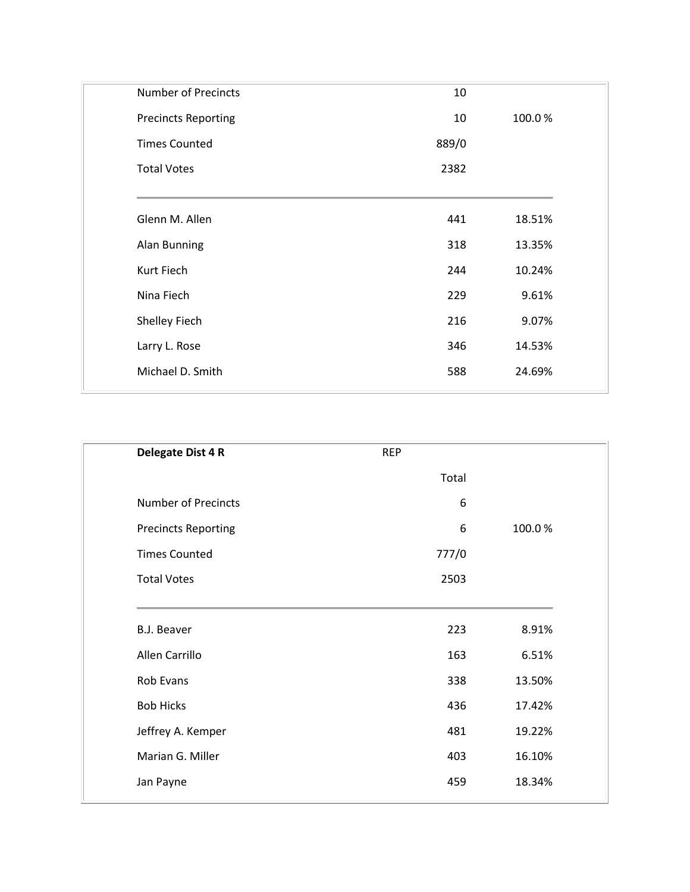| <b>Number of Precincts</b> | 10    |        |
|----------------------------|-------|--------|
| <b>Precincts Reporting</b> | 10    | 100.0% |
| <b>Times Counted</b>       | 889/0 |        |
| <b>Total Votes</b>         | 2382  |        |
| Glenn M. Allen             | 441   | 18.51% |
| Alan Bunning               | 318   | 13.35% |
| Kurt Fiech                 | 244   | 10.24% |
| Nina Fiech                 | 229   | 9.61%  |
| Shelley Fiech              | 216   | 9.07%  |
| Larry L. Rose              | 346   | 14.53% |
| Michael D. Smith           | 588   | 24.69% |
|                            |       |        |

| Delegate Dist 4 R          | <b>REP</b> |        |
|----------------------------|------------|--------|
|                            | Total      |        |
| <b>Number of Precincts</b> | 6          |        |
| <b>Precincts Reporting</b> | 6          | 100.0% |
| <b>Times Counted</b>       | 777/0      |        |
| <b>Total Votes</b>         | 2503       |        |
| <b>B.J. Beaver</b>         | 223        | 8.91%  |
| Allen Carrillo             | 163        | 6.51%  |
| Rob Evans                  | 338        | 13.50% |
| <b>Bob Hicks</b>           | 436        | 17.42% |
| Jeffrey A. Kemper          | 481        | 19.22% |
| Marian G. Miller           | 403        | 16.10% |
| Jan Payne                  | 459        | 18.34% |
|                            |            |        |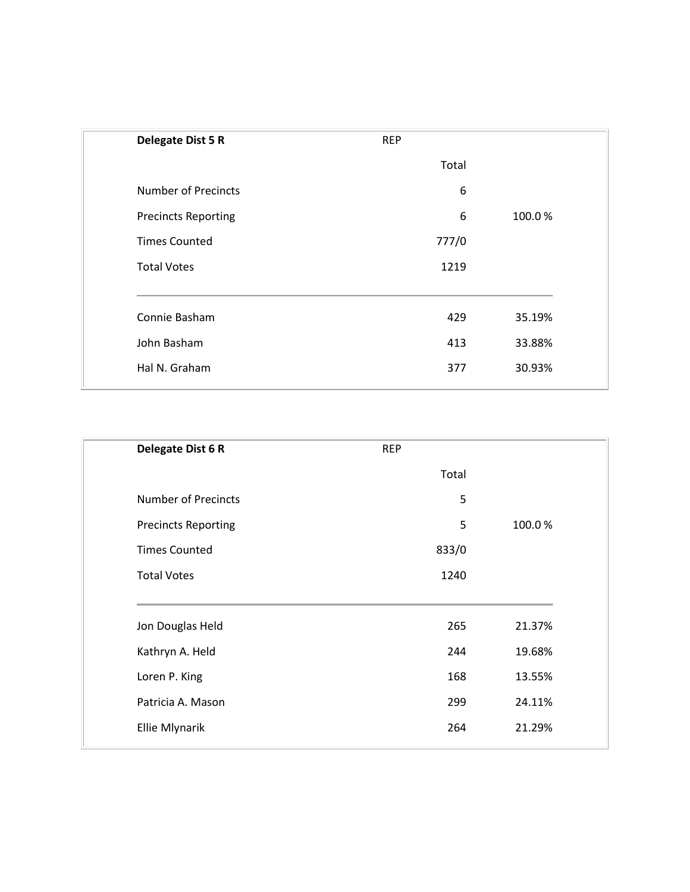| <b>Delegate Dist 5 R</b>   | <b>REP</b> |        |
|----------------------------|------------|--------|
|                            | Total      |        |
| <b>Number of Precincts</b> | 6          |        |
| <b>Precincts Reporting</b> | 6          | 100.0% |
| <b>Times Counted</b>       | 777/0      |        |
| <b>Total Votes</b>         | 1219       |        |
| Connie Basham              | 429        | 35.19% |
| John Basham                | 413        | 33.88% |
| Hal N. Graham              | 377        | 30.93% |
|                            |            |        |

| Delegate Dist 6 R          | <b>REP</b> |        |
|----------------------------|------------|--------|
|                            | Total      |        |
| <b>Number of Precincts</b> | 5          |        |
| <b>Precincts Reporting</b> | 5          | 100.0% |
| <b>Times Counted</b>       | 833/0      |        |
| <b>Total Votes</b>         | 1240       |        |
|                            |            |        |
| Jon Douglas Held           | 265        | 21.37% |
| Kathryn A. Held            | 244        | 19.68% |
| Loren P. King              | 168        | 13.55% |
| Patricia A. Mason          | 299        | 24.11% |
| Ellie Mlynarik             | 264        | 21.29% |
|                            |            |        |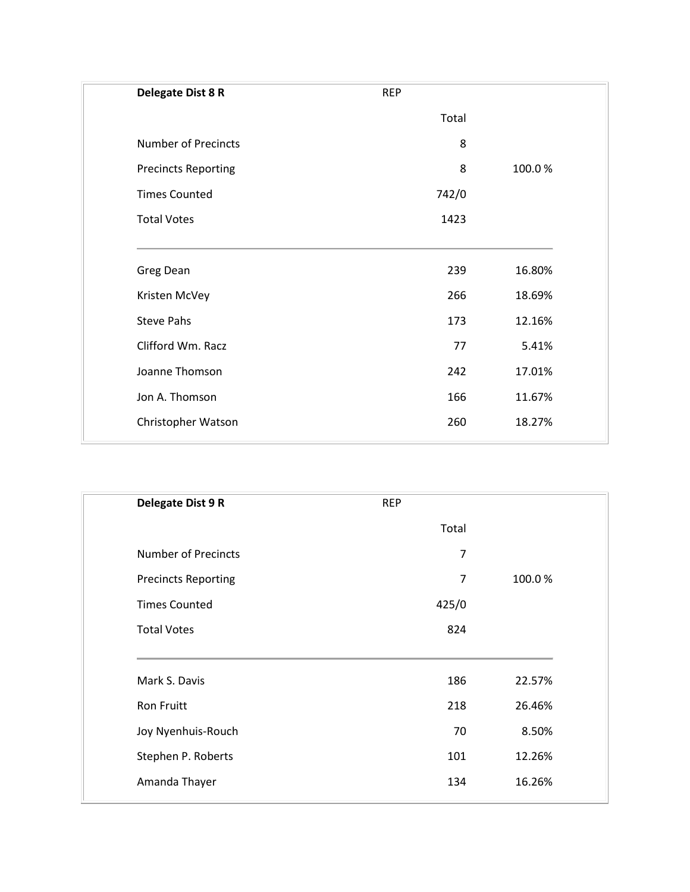| Delegate Dist 8 R          | <b>REP</b> |        |
|----------------------------|------------|--------|
|                            | Total      |        |
| <b>Number of Precincts</b> | 8          |        |
| <b>Precincts Reporting</b> | 8          | 100.0% |
| <b>Times Counted</b>       | 742/0      |        |
| <b>Total Votes</b>         | 1423       |        |
| Greg Dean                  | 239        | 16.80% |
| Kristen McVey              | 266        | 18.69% |
| <b>Steve Pahs</b>          | 173        | 12.16% |
| Clifford Wm. Racz          | 77         | 5.41%  |
| Joanne Thomson             | 242        | 17.01% |
| Jon A. Thomson             | 166        | 11.67% |
| Christopher Watson         | 260        | 18.27% |

| Delegate Dist 9 R          | <b>REP</b> |        |
|----------------------------|------------|--------|
|                            | Total      |        |
| <b>Number of Precincts</b> | 7          |        |
| <b>Precincts Reporting</b> | 7          | 100.0% |
| <b>Times Counted</b>       | 425/0      |        |
| <b>Total Votes</b>         | 824        |        |
| Mark S. Davis              | 186        | 22.57% |
| <b>Ron Fruitt</b>          | 218        | 26.46% |
| Joy Nyenhuis-Rouch         | 70         | 8.50%  |
| Stephen P. Roberts         | 101        | 12.26% |
| Amanda Thayer              | 134        | 16.26% |
|                            |            |        |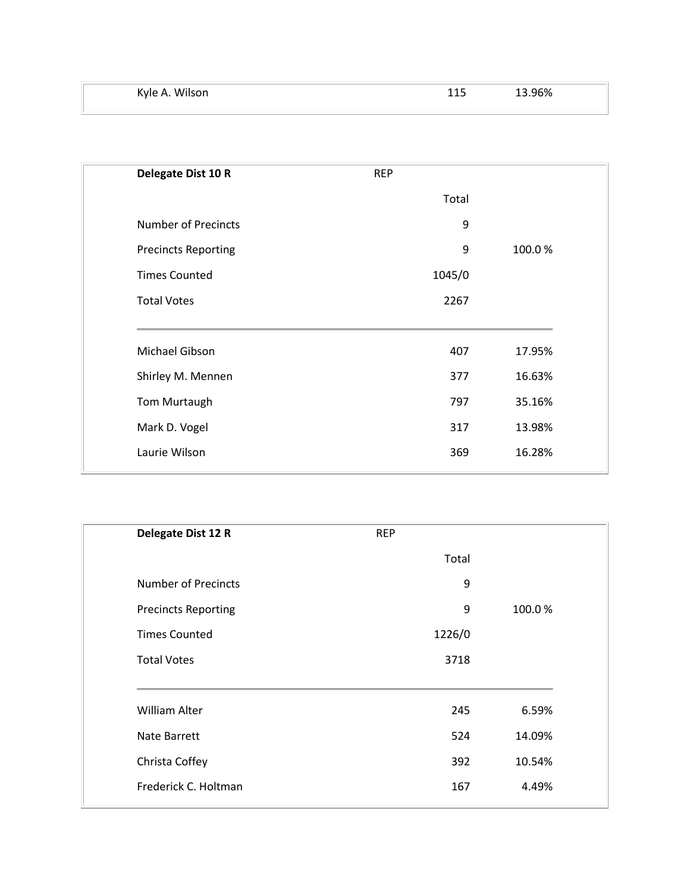| Kyle A. Wilson | -- | ٬6% |
|----------------|----|-----|
|                |    |     |

| Delegate Dist 10 R         | <b>REP</b> |        |
|----------------------------|------------|--------|
|                            | Total      |        |
| <b>Number of Precincts</b> | 9          |        |
| <b>Precincts Reporting</b> | 9          | 100.0% |
| <b>Times Counted</b>       | 1045/0     |        |
| <b>Total Votes</b>         | 2267       |        |
|                            |            |        |
| Michael Gibson             | 407        | 17.95% |
| Shirley M. Mennen          | 377        | 16.63% |
| Tom Murtaugh               | 797        | 35.16% |
| Mark D. Vogel              | 317        | 13.98% |
| Laurie Wilson              | 369        | 16.28% |
|                            |            |        |

| Delegate Dist 12 R         | <b>REP</b> |        |
|----------------------------|------------|--------|
|                            | Total      |        |
| <b>Number of Precincts</b> | 9          |        |
| <b>Precincts Reporting</b> | 9          | 100.0% |
| <b>Times Counted</b>       | 1226/0     |        |
| <b>Total Votes</b>         | 3718       |        |
| <b>William Alter</b>       | 245        | 6.59%  |
| Nate Barrett               | 524        | 14.09% |
| Christa Coffey             | 392        | 10.54% |
| Frederick C. Holtman       | 167        | 4.49%  |
|                            |            |        |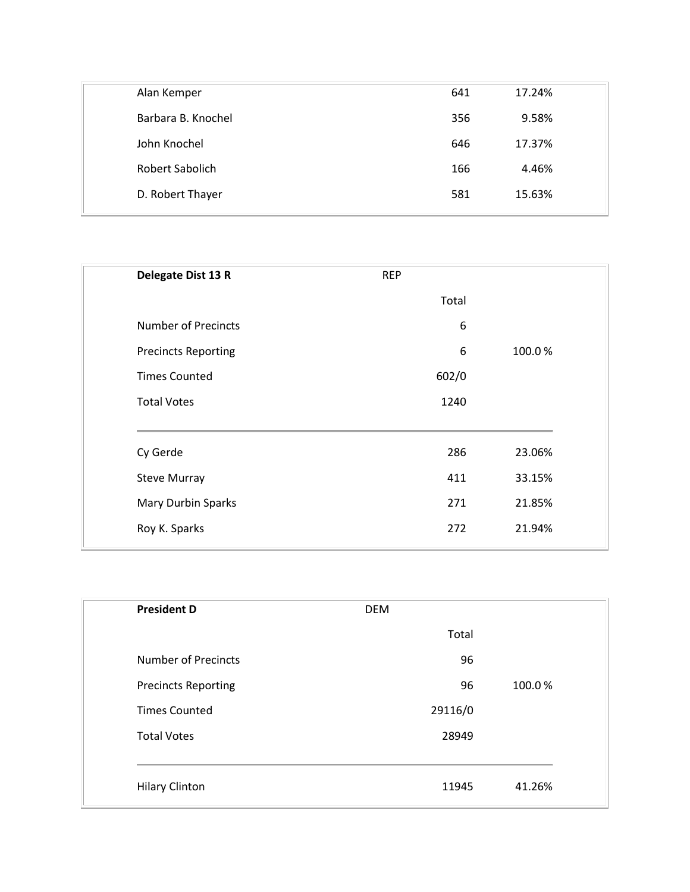| Alan Kemper        | 641 | 17.24% |  |
|--------------------|-----|--------|--|
| Barbara B. Knochel | 356 | 9.58%  |  |
| John Knochel       | 646 | 17.37% |  |
| Robert Sabolich    | 166 | 4.46%  |  |
| D. Robert Thayer   | 581 | 15.63% |  |
|                    |     |        |  |

| Delegate Dist 13 R         | <b>REP</b> |        |
|----------------------------|------------|--------|
|                            | Total      |        |
| <b>Number of Precincts</b> | 6          |        |
| <b>Precincts Reporting</b> | 6          | 100.0% |
| <b>Times Counted</b>       | 602/0      |        |
| <b>Total Votes</b>         | 1240       |        |
| Cy Gerde                   | 286        | 23.06% |
| <b>Steve Murray</b>        | 411        | 33.15% |
| <b>Mary Durbin Sparks</b>  | 271        | 21.85% |
| Roy K. Sparks              | 272        | 21.94% |
|                            |            |        |

| <b>President D</b>         | <b>DEM</b> |              |
|----------------------------|------------|--------------|
|                            | Total      |              |
| <b>Number of Precincts</b> |            | 96           |
| <b>Precincts Reporting</b> |            | 96<br>100.0% |
| <b>Times Counted</b>       | 29116/0    |              |
| <b>Total Votes</b>         | 28949      |              |
|                            |            |              |
| <b>Hilary Clinton</b>      | 11945      | 41.26%       |
|                            |            |              |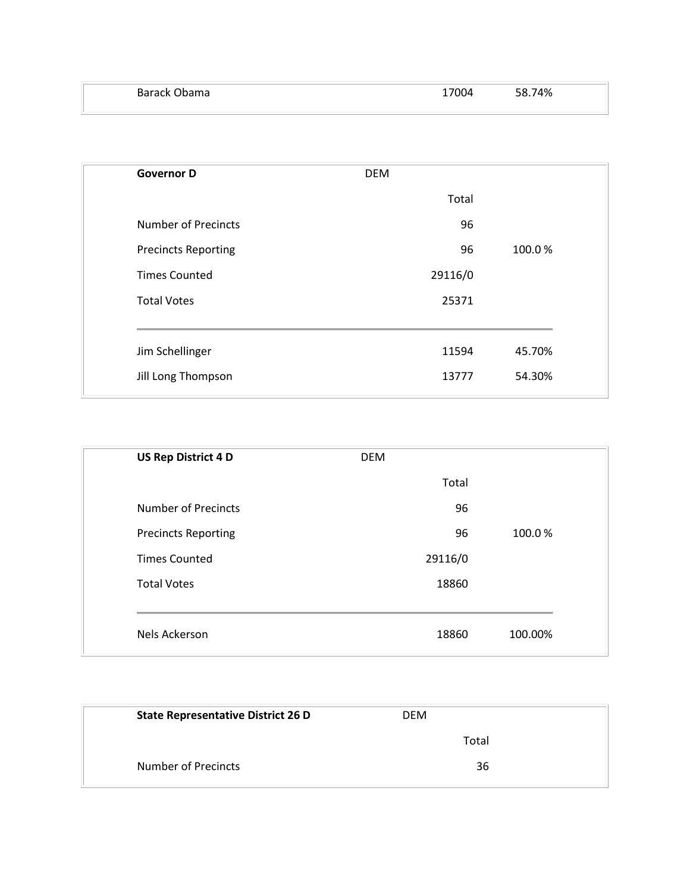| <b>DEM</b> |        |
|------------|--------|
| Total      |        |
| 96         |        |
| 96         | 100.0% |
| 29116/0    |        |
| 25371      |        |
| 11594      | 45.70% |
| 13777      | 54.30% |
|            |        |

| <b>US Rep District 4 D</b> | <b>DEM</b> |         |
|----------------------------|------------|---------|
|                            | Total      |         |
| <b>Number of Precincts</b> | 96         |         |
| <b>Precincts Reporting</b> | 96         | 100.0%  |
| <b>Times Counted</b>       | 29116/0    |         |
| <b>Total Votes</b>         | 18860      |         |
|                            |            |         |
| Nels Ackerson              | 18860      | 100.00% |

| <b>State Representative District 26 D</b> | <b>DEM</b> |  |
|-------------------------------------------|------------|--|
|                                           | Total      |  |
| <b>Number of Precincts</b>                | 36         |  |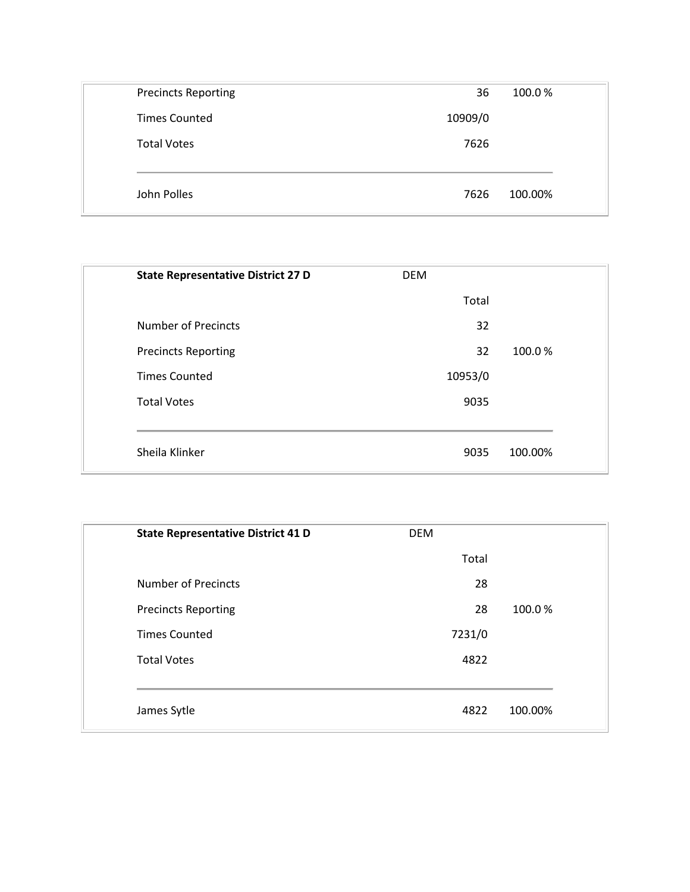| <b>Precincts Reporting</b> | 36      | 100.0%  |
|----------------------------|---------|---------|
| <b>Times Counted</b>       | 10909/0 |         |
| <b>Total Votes</b>         | 7626    |         |
|                            |         |         |
| John Polles                | 7626    | 100.00% |

| <b>State Representative District 27 D</b> | <b>DEM</b> |         |
|-------------------------------------------|------------|---------|
|                                           | Total      |         |
| <b>Number of Precincts</b>                | 32         |         |
| <b>Precincts Reporting</b>                | 32         | 100.0%  |
| <b>Times Counted</b>                      | 10953/0    |         |
| <b>Total Votes</b>                        | 9035       |         |
|                                           |            |         |
| Sheila Klinker                            | 9035       | 100.00% |

| <b>State Representative District 41 D</b> | <b>DEM</b> |         |
|-------------------------------------------|------------|---------|
|                                           | Total      |         |
| <b>Number of Precincts</b>                | 28         |         |
| <b>Precincts Reporting</b>                | 28         | 100.0%  |
| <b>Times Counted</b>                      | 7231/0     |         |
| <b>Total Votes</b>                        | 4822       |         |
|                                           |            |         |
| James Sytle                               | 4822       | 100.00% |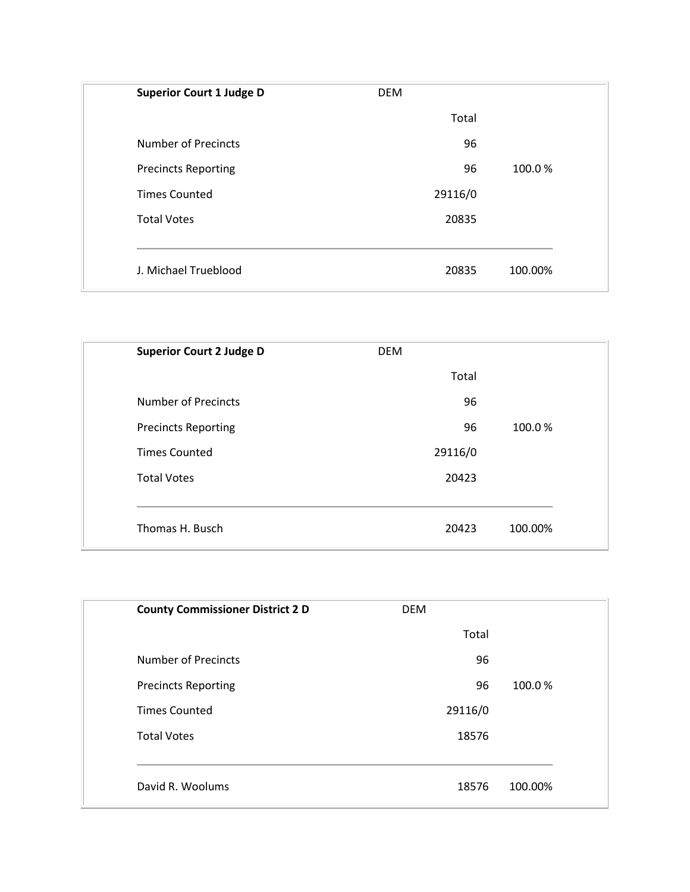| <b>Superior Court 1 Judge D</b> | <b>DEM</b> |         |
|---------------------------------|------------|---------|
|                                 | Total      |         |
| <b>Number of Precincts</b>      | 96         |         |
| <b>Precincts Reporting</b>      | 96         | 100.0%  |
| <b>Times Counted</b>            | 29116/0    |         |
| <b>Total Votes</b>              | 20835      |         |
|                                 |            |         |
| J. Michael Trueblood            | 20835      | 100.00% |

| <b>Superior Court 2 Judge D</b> | <b>DEM</b> |         |
|---------------------------------|------------|---------|
|                                 | Total      |         |
| <b>Number of Precincts</b>      | 96         |         |
| <b>Precincts Reporting</b>      | 96         | 100.0%  |
| <b>Times Counted</b>            | 29116/0    |         |
| <b>Total Votes</b>              | 20423      |         |
|                                 |            |         |
| Thomas H. Busch                 | 20423      | 100.00% |

| <b>County Commissioner District 2 D</b> | <b>DEM</b> |         |
|-----------------------------------------|------------|---------|
|                                         | Total      |         |
| <b>Number of Precincts</b>              | 96         |         |
| <b>Precincts Reporting</b>              | 96         | 100.0%  |
| <b>Times Counted</b>                    | 29116/0    |         |
| <b>Total Votes</b>                      | 18576      |         |
|                                         |            |         |
| David R. Woolums                        | 18576      | 100.00% |
|                                         |            |         |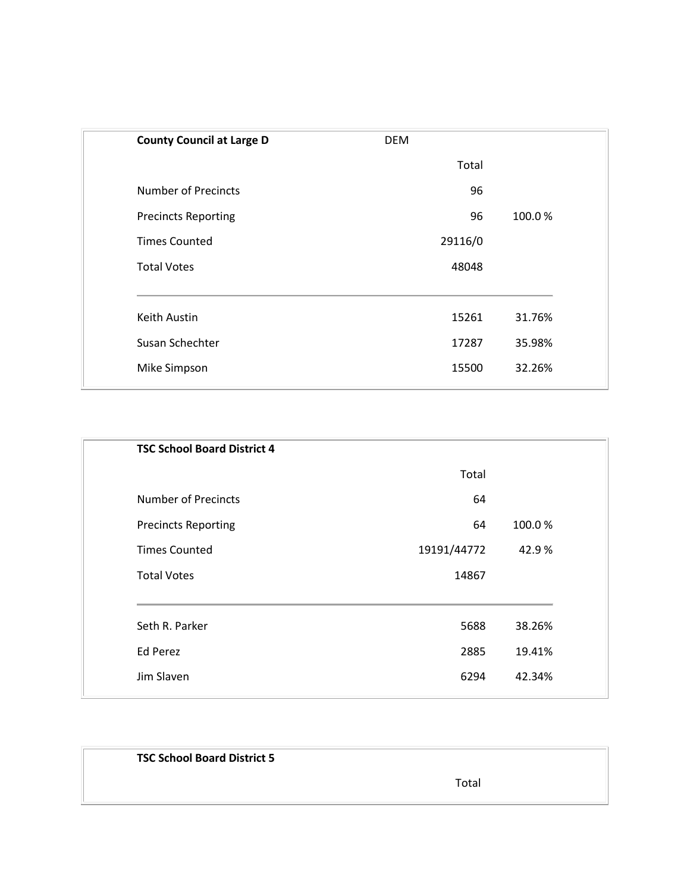| <b>County Council at Large D</b> | <b>DEM</b> |        |
|----------------------------------|------------|--------|
|                                  | Total      |        |
| <b>Number of Precincts</b>       | 96         |        |
| <b>Precincts Reporting</b>       | 96         | 100.0% |
| <b>Times Counted</b>             | 29116/0    |        |
| <b>Total Votes</b>               | 48048      |        |
|                                  |            |        |
| Keith Austin                     | 15261      | 31.76% |
| Susan Schechter                  | 17287      | 35.98% |
| Mike Simpson                     | 15500      | 32.26% |
|                                  |            |        |

| <b>TSC School Board District 4</b> |             |        |
|------------------------------------|-------------|--------|
|                                    | Total       |        |
| <b>Number of Precincts</b>         | 64          |        |
| <b>Precincts Reporting</b>         | 64          | 100.0% |
| <b>Times Counted</b>               | 19191/44772 | 42.9%  |
| <b>Total Votes</b>                 | 14867       |        |
|                                    |             |        |
| Seth R. Parker                     | 5688        | 38.26% |
| <b>Ed Perez</b>                    | 2885        | 19.41% |
| Jim Slaven                         | 6294        | 42.34% |
|                                    |             |        |

| <b>TSC School Board District 5</b> |       |
|------------------------------------|-------|
|                                    | Total |
|                                    |       |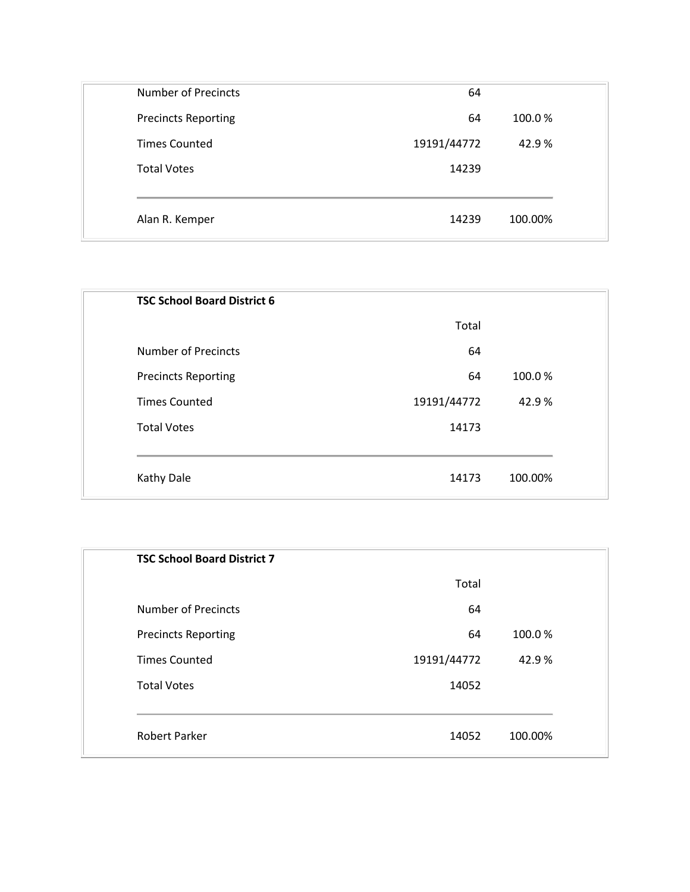| 64          |         |
|-------------|---------|
| 64          | 100.0%  |
| 19191/44772 | 42.9%   |
| 14239       |         |
|             |         |
| 14239       | 100.00% |
|             |         |

| <b>TSC School Board District 6</b> |             |         |
|------------------------------------|-------------|---------|
|                                    | Total       |         |
| <b>Number of Precincts</b>         | 64          |         |
| <b>Precincts Reporting</b>         | 64          | 100.0%  |
| <b>Times Counted</b>               | 19191/44772 | 42.9%   |
| <b>Total Votes</b>                 | 14173       |         |
|                                    |             |         |
| Kathy Dale                         | 14173       | 100.00% |
|                                    |             |         |

| <b>TSC School Board District 7</b> |             |         |
|------------------------------------|-------------|---------|
|                                    | Total       |         |
| <b>Number of Precincts</b>         | 64          |         |
| <b>Precincts Reporting</b>         | 64          | 100.0%  |
| <b>Times Counted</b>               | 19191/44772 | 42.9%   |
| <b>Total Votes</b>                 | 14052       |         |
|                                    |             |         |
| <b>Robert Parker</b>               | 14052       | 100.00% |